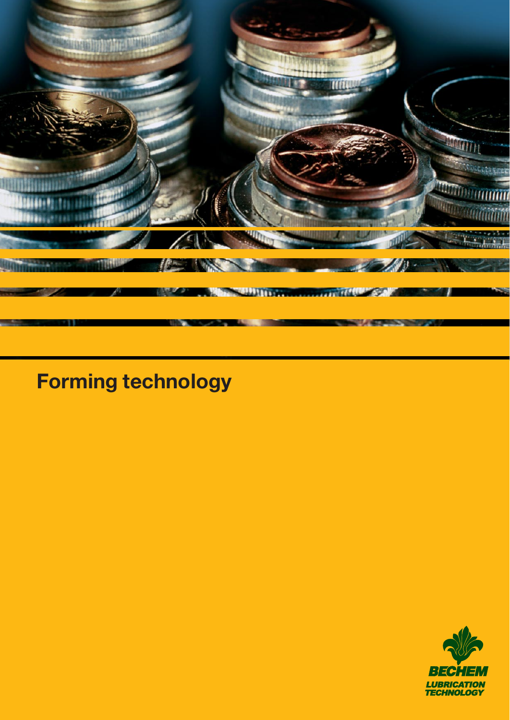

# **Forming technology**

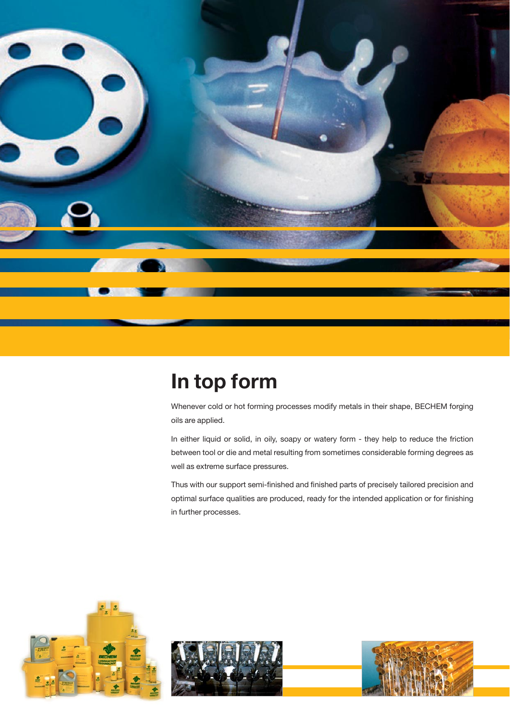

## **In top form**

Whenever cold or hot forming processes modify metals in their shape, BECHEM forging oils are applied.

In either liquid or solid, in oily, soapy or watery form - they help to reduce the friction between tool or die and metal resulting from sometimes considerable forming degrees as well as extreme surface pressures.

Thus with our support semi-finished and finished parts of precisely tailored precision and optimal surface qualities are produced, ready for the intended application or for finishing in further processes.





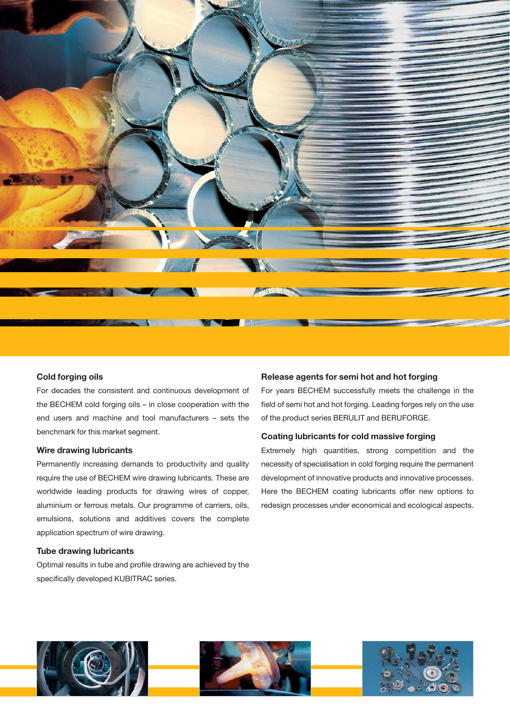

#### **Cold forging oils**

For decades the consistent and continuous development of the BECHEM cold forging oils – in close cooperation with the end users and machine and tool manufacturers – sets the benchmark for this market segment.

## **Wire drawing lubricants**

Permanently increasing demands to productivity and quality require the use of BECHEM wire drawing lubricants. These are worldwide leading products for drawing wires of copper, aluminium or ferrous metals. Our programme of carriers, oils, emulsions, solutions and additives covers the complete application spectrum of wire drawing.

## **Tube drawing lubricants**

Optimal results in tube and profile drawing are achieved by the specifically developed KUBITRAC series.

#### **Release agents for semi hot and hot forging**

For years BECHEM successfully meets the challenge in the field of semi hot and hot forging. Leading forges rely on the use of the product series BERULIT and BERUFORGE.

#### **Coating lubricants for cold massive forging**

Extremely high quantities, strong competition and the necessity of specialisation in cold forging require the permanent development of innovative products and innovative processes. Here the BECHEM coating lubricants offer new options to redesign processes under economical and ecological aspects.